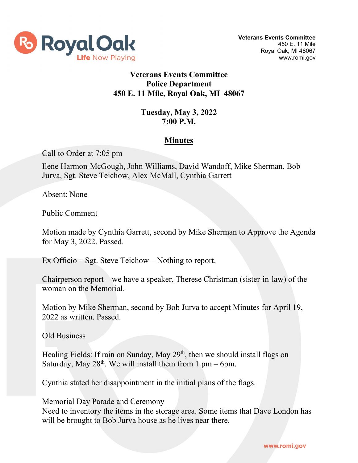

## **Veterans Events Committee Police Department 450 E. 11 Mile, Royal Oak, MI 48067**

## **Tuesday, May 3, 2022 7:00 P.M.**

## **Minutes**

Call to Order at 7:05 pm

Ilene Harmon-McGough, John Williams, David Wandoff, Mike Sherman, Bob Jurva, Sgt. Steve Teichow, Alex McMall, Cynthia Garrett

Absent: None

Public Comment

Motion made by Cynthia Garrett, second by Mike Sherman to Approve the Agenda for May 3, 2022. Passed.

Ex Officio – Sgt. Steve Teichow – Nothing to report.

Chairperson report – we have a speaker, Therese Christman (sister-in-law) of the woman on the Memorial.

Motion by Mike Sherman, second by Bob Jurva to accept Minutes for April 19, 2022 as written. Passed.

Old Business

Healing Fields: If rain on Sunday, May 29<sup>th</sup>, then we should install flags on Saturday, May  $28<sup>th</sup>$ . We will install them from 1 pm – 6pm.

Cynthia stated her disappointment in the initial plans of the flags.

Memorial Day Parade and Ceremony

Need to inventory the items in the storage area. Some items that Dave London has will be brought to Bob Jurva house as he lives near there.